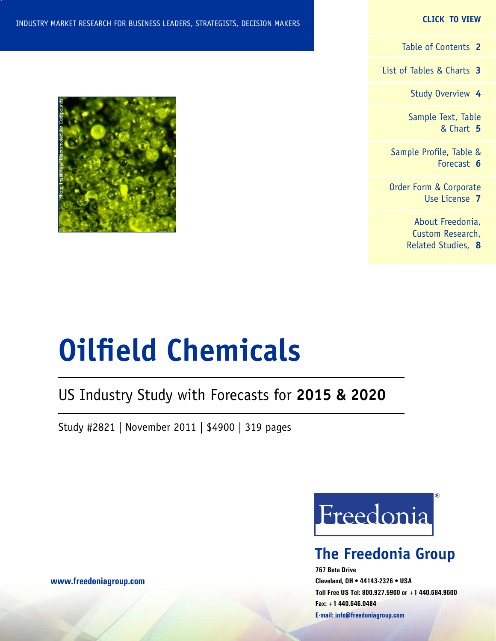#### **CLICK TO VIEW**

[Table of Contents](#page-1-0) **2**

[List of Tables & Charts](#page-2-0) **3**

[Study Overview](#page-3-0) **4**

[Sample Text, Table](#page-4-0) [& Chart](#page-4-0) **5**

[Sample Profile, Table &](#page-5-0) [Forecast](#page-5-0) **6**

[Order Form & Corporate](#page-6-0) [Use License](#page-6-0) **7**

> [About Freedonia,](#page-7-0) [Custom Research,](#page-7-0) [Related Studies,](#page-7-0) **8**



# US Industry Study with Forecasts for **2015 & 2020**

Study #2821 | November 2011 | \$4900 | 319 pages



# **The Freedonia Group**

**767 Beta Drive Cleveland, OH • 44143-2326 • USA Toll Free US Tel: 800.927.5900 or +1 440.684.9600 Fax: +1 440.646.0484 E-mail: [info@freedoniagroup.com](mailto:info@freedoniagroup.com)**

**[www.freedoniagroup.com](http://www.freedoniagroup.com/Home.aspx?ReferrerId=FM-Bro)**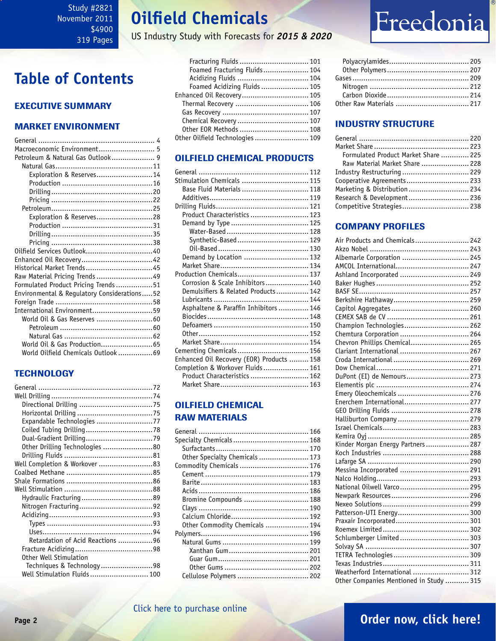# **Oilfield Chemicals**

US Industry Study with Forecasts for *2015 & 2020*

# <span id="page-1-0"></span>**Table of Contents**

#### Executive Summary

#### Market EnvironmenT

| Macroeconomic Environment 5                 |
|---------------------------------------------|
| Petroleum & Natural Gas Outlook 9           |
|                                             |
| Exploration & Reserves14                    |
|                                             |
|                                             |
|                                             |
|                                             |
| Exploration & Reserves28                    |
|                                             |
|                                             |
|                                             |
|                                             |
|                                             |
| Historical Market Trends45                  |
| Raw Material Pricing Trends 49              |
| Formulated Product Pricing Trends51         |
| Environmental & Regulatory Considerations52 |
|                                             |
| International Environment59                 |
| World Oil & Gas Reserves 60                 |
|                                             |
|                                             |
| World Oil & Gas Production 65               |
| World Oilfield Chemicals Outlook 69         |

#### **TECHNOLOGY**

| Expandable Technologies 77       |  |
|----------------------------------|--|
|                                  |  |
|                                  |  |
| Other Drilling Technologies 80   |  |
|                                  |  |
|                                  |  |
|                                  |  |
|                                  |  |
|                                  |  |
|                                  |  |
|                                  |  |
|                                  |  |
|                                  |  |
|                                  |  |
| Retardation of Acid Reactions 96 |  |
|                                  |  |
| Other Well Stimulation           |  |
| Techniques & Technology98        |  |
|                                  |  |

| Fracturing Fluids  101          |  |
|---------------------------------|--|
| Foamed Fracturing Fluids 104    |  |
| Acidizing Fluids  104           |  |
| Foamed Acidizing Fluids  105    |  |
| Enhanced Oil Recovery 105       |  |
| Thermal Recovery  106           |  |
|                                 |  |
| Chemical Recovery  107          |  |
| Other EOR Methods  108          |  |
| Other Oilfield Technologies 109 |  |
|                                 |  |

#### OILFIELD CHEMICAL PRODUCTS

| Stimulation Chemicals  115                |  |
|-------------------------------------------|--|
| Base Fluid Materials  118                 |  |
|                                           |  |
|                                           |  |
| Product Characteristics  123              |  |
|                                           |  |
|                                           |  |
| Synthetic-Based 129                       |  |
|                                           |  |
| Demand by Location  132                   |  |
|                                           |  |
| Production Chemicals 137                  |  |
| Corrosion & Scale Inhibitors 140          |  |
| Demulsifiers & Related Products 142       |  |
|                                           |  |
| Asphaltene & Paraffin Inhibitors  146     |  |
|                                           |  |
|                                           |  |
|                                           |  |
|                                           |  |
| Cementing Chemicals 156                   |  |
| Enhanced Oil Recovery (EOR) Products  158 |  |
| Completion & Workover Fluids 161          |  |
| Product Characteristics  162              |  |
|                                           |  |
|                                           |  |

#### OILFIELD CHEMICAL RAW MATERIALS

| Specialty Chemicals 168        |  |
|--------------------------------|--|
|                                |  |
| Other Specialty Chemicals  173 |  |
| Commodity Chemicals  176       |  |
|                                |  |
|                                |  |
|                                |  |
| Bromine Compounds  188         |  |
|                                |  |
|                                |  |
| Other Commodity Chemicals  194 |  |
|                                |  |
|                                |  |
|                                |  |
|                                |  |
|                                |  |
| Cellulose Polymers  202        |  |
|                                |  |

# Freedonia

#### INDUSTRY STRUCTURE

| Formulated Product Market Share  225 |  |
|--------------------------------------|--|
| Raw Material Market Share  228       |  |
| Industry Restructuring  229          |  |
| Cooperative Agreements 233           |  |
| Marketing & Distribution  234        |  |
| Research & Development 236           |  |
| Competitive Strategies 238           |  |
|                                      |  |

#### Company Profiles

| Air Products and Chemicals 242          |  |
|-----------------------------------------|--|
|                                         |  |
| Albemarle Corporation  245              |  |
| AMCOL International 247                 |  |
| Ashland Incorporated  249               |  |
|                                         |  |
|                                         |  |
|                                         |  |
|                                         |  |
|                                         |  |
| Champion Technologies 262               |  |
| Chemtura Corporation  264               |  |
| Chevron Phillips Chemical 265           |  |
| Clariant International  267             |  |
|                                         |  |
|                                         |  |
| DuPont (EI) de Nemours 273              |  |
|                                         |  |
| Emery Oleochemicals  276                |  |
| Enerchem International 277              |  |
|                                         |  |
| Halliburton Company  279                |  |
|                                         |  |
|                                         |  |
| Kinder Morgan Energy Partners 287       |  |
|                                         |  |
|                                         |  |
| Messina Incorporated  291               |  |
|                                         |  |
| National Oilwell Varco 295              |  |
|                                         |  |
|                                         |  |
| Patterson-UTI Energy 300                |  |
| Praxair Incorporated 301                |  |
|                                         |  |
| Schlumberger Limited  303               |  |
|                                         |  |
|                                         |  |
|                                         |  |
| Weatherford International  312          |  |
| Other Companies Mentioned in Study  315 |  |
|                                         |  |

#### [Click here to purchase online](http://www.freedoniagroup.com/DocumentDetails.aspx?Referrerid=FM-Bro&StudyID=2821)

### **Page 2 [Order now, click here!](#page-6-0)**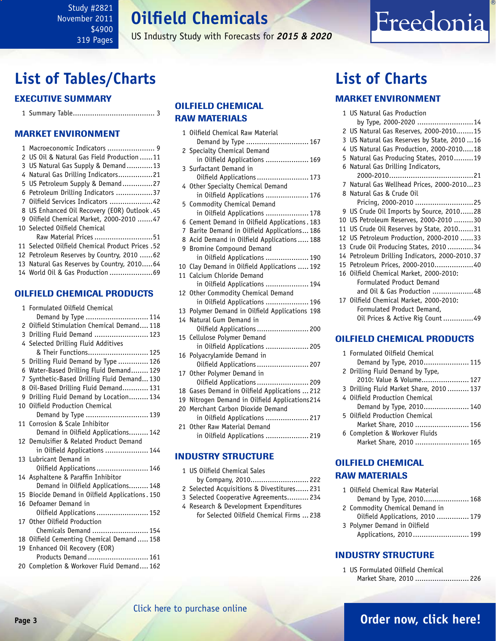# **Oilfield Chemicals**

US Industry Study with Forecasts for *2015 & 2020*

# <span id="page-2-0"></span>**List of Tables/Charts**

#### Executive Summary

1 Summary Table...................................... 3

#### Market EnvironmenT

| 2 US Oil & Natural Gas Field Production 11       |
|--------------------------------------------------|
| 3 US Natural Gas Supply & Demand13               |
| 4 Natural Gas Drilling Indicators21              |
| 5 US Petroleum Supply & Demand27                 |
| 6 Petroleum Drilling Indicators 37               |
| 7 Oilfield Services Indicators 42                |
| 8 US Enhanced Oil Recovery (EOR) Outlook .45     |
| 9 Oilfield Chemical Market, 2000-2010 47         |
| 10 Selected Oilfield Chemical                    |
| Raw Material Prices 51                           |
| 11 Selected Oilfield Chemical Product Prices .52 |
| 12 Petroleum Reserves by Country, 2010 62        |
| 13 Natural Gas Reserves by Country, 201064       |
| 14 World Oil & Gas Production 69                 |

#### OILFIELD CHEMICAL PRODUCTS

|   | 1 Formulated Oilfield Chemical                  |
|---|-------------------------------------------------|
|   | Demand by Type  114                             |
|   | 2 Oilfield Stimulation Chemical Demand 118      |
|   | 3 Drilling Fluid Demand  123                    |
|   | 4 Selected Drilling Fluid Additives             |
|   | & Their Functions 125                           |
| 5 | Drilling Fluid Demand by Type  126              |
| 6 | Water-Based Drilling Fluid Demand 129           |
| 7 | Synthetic-Based Drilling Fluid Demand 130       |
|   | 8 Oil-Based Drilling Fluid Demand 131           |
| 9 | Drilling Fluid Demand by Location 134           |
|   | 10 Oilfield Production Chemical                 |
|   | Demand by Type  139                             |
|   | 11 Corrosion & Scale Inhibitor                  |
|   | Demand in Oilfield Applications 142             |
|   | 12 Demulsifier & Related Product Demand         |
|   | in Oilfield Applications  144                   |
|   | 13 Lubricant Demand in                          |
|   | Oilfield Applications  146                      |
|   | 14 Asphaltene & Paraffin Inhibitor              |
|   | Demand in Oilfield Applications 148             |
|   | 15 Biocide Demand in Oilfield Applications. 150 |
|   | 16 Defoamer Demand in                           |
|   | Oilfield Applications  152                      |
|   | 17 Other Oilfield Production                    |
|   | Chemicals Demand  154                           |
|   | 18 Oilfield Cementing Chemical Demand  158      |
|   | 19 Enhanced Oil Recovery (EOR)                  |
|   | Products Demand  161                            |
|   | 20 Completion & Workover Fluid Demand 162       |

#### OILFIELD CHEMICAL RAW MATERIALS

| 1            | Oilfield Chemical Raw Material<br>Demand by Type  167              |
|--------------|--------------------------------------------------------------------|
| $\mathbf{2}$ | Specialty Chemical Demand                                          |
| 3            | in Oilfield Applications  169<br>Surfactant Demand in              |
|              | Oilfield Applications  173                                         |
|              | 4 Other Specialty Chemical Demand<br>in Oilfield Applications  176 |
|              | 5 Commodity Chemical Demand                                        |
|              | in Oilfield Applications  178                                      |
| 6            | Cement Demand in Oilfield Applications. 183                        |
|              | 7 Barite Demand in Oilfield Applications 186                       |
|              | 8 Acid Demand in Oilfield Applications  188                        |
|              | 9 Bromine Compound Demand                                          |
|              | in Oilfield Applications  190                                      |
| 10           | Clay Demand in Oilfield Applications  192                          |
| 11           | Calcium Chloride Demand                                            |
|              | in Oilfield Applications  194                                      |
| 12           | Other Commodity Chemical Demand                                    |
|              | in Oilfield Applications  196                                      |
| 13           | Polymer Demand in Oilfield Applications 198                        |
| $14^{\circ}$ | Natural Gum Demand in                                              |
|              | Oilfield Applications  200                                         |
|              | 15 Cellulose Polymer Demand                                        |
|              | in Oilfield Applications  205                                      |
| 16           | Polyacrylamide Demand in                                           |
|              | Oilfield Applications 207                                          |
| 17           | Other Polymer Demand in                                            |
|              | Oilfield Applications  209                                         |
| 18           | Gases Demand in Oilfield Applications  212                         |
| 19           | Nitrogen Demand in Oilfield Applications214                        |
| 20           | Merchant Carbon Dioxide Demand                                     |
|              | in Oilfield Applications  217                                      |
| 21           | Other Raw Material Demand                                          |
|              | in Oilfield Applications  219                                      |
|              |                                                                    |

#### INDUSTRY STRUCTURE

- 1 US Oilfield Chemical Sales by Company, 2010........................... 222 2 Selected Acquisitions & Divestitures...... 231
- 3 Selected Cooperative Agreements.......... 234
- 4 Research & Development Expenditures for Selected Oilfield Chemical Firms ... 238

# **List of Charts**

#### MARKET ENVIRONMENT

|    | 1 US Natural Gas Production                    |
|----|------------------------------------------------|
|    | by Type, 2000-2020 14                          |
|    | 2 US Natural Gas Reserves, 2000-201015         |
|    | 3 US Natural Gas Reserves by State, 2010  16   |
|    | 4 US Natural Gas Production, 2000-201018       |
|    | 5 Natural Gas Producing States, 201019         |
|    | 6 Natural Gas Drilling Indicators,             |
|    |                                                |
|    | 7 Natural Gas Wellhead Prices, 2000-201023     |
|    | 8 Natural Gas & Crude Oil                      |
|    | Pricing, 2000-2010 25                          |
|    | 9 US Crude Oil Imports by Source, 201028       |
|    | 10 US Petroleum Reserves, 2000-2010 30         |
|    | 11 US Crude Oil Reserves by State, 201031      |
|    | 12 US Petroleum Production, 2000-2010 33       |
| 13 | Crude Oil Producing States, 2010 34            |
|    | 14 Petroleum Drilling Indicators, 2000-2010.37 |
|    | 15 Petroleum Prices, 2000-201040               |
|    | 16 Oilfield Chemical Market, 2000-2010:        |
|    | Formulated Product Demand                      |
|    | and Oil & Gas Production 48                    |
|    | 17 Oilfield Chemical Market, 2000-2010:        |
|    | Formulated Product Demand,                     |
|    | Oil Prices & Active Rig Count 49               |
|    |                                                |
|    | <b>OILFIELD CHEMICAL PRODUCTS</b>              |
|    |                                                |

Freedonia

|  | 1 Formulated Oilfield Chemical           |
|--|------------------------------------------|
|  | Demand by Type, 2010 115                 |
|  | 2 Drilling Fluid Demand by Type,         |
|  | 2010: Value & Volume 127                 |
|  | 3 Drilling Fluid Market Share, 2010  137 |
|  | 4 Oilfield Production Chemical           |
|  | Demand by Type, 2010 140                 |
|  | 5 Oilfield Production Chemical           |
|  | Market Share, 2010  156                  |
|  | 6 Completion & Workover Fluids           |
|  | Market Share, 2010  165                  |
|  |                                          |

#### OILFIELD CHEMICAL RAW MATERIALS

| 1 Oilfield Chemical Raw Material |
|----------------------------------|
| Demand by Type, 2010 168         |
| 2 Commodity Chemical Demand in   |
| Oilfield Applications, 2010  179 |
| 3 Polymer Demand in Oilfield     |
| Applications, 2010 199           |

#### INDUSTRY STRUCTURE

1 US Formulated Oilfield Chemical Market Share, 2010 ......................... 226

### **Page 3 [Order now, click here!](#page-6-0)**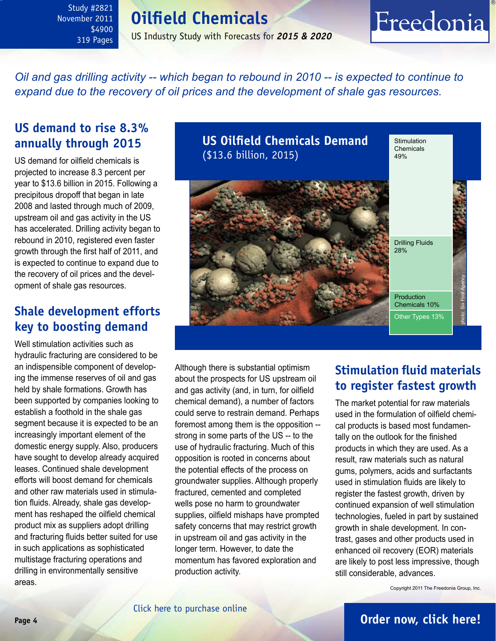# **Oilfield Chemicals**

US Industry Study with Forecasts for *2015 & 2020*

<span id="page-3-0"></span>*Oil and gas drilling activity -- which began to rebound in 2010 -- is expected to continue to expand due to the recovery of oil prices and the development of shale gas resources.*

## **US demand to rise 8.3% annually through 2015**

US demand for oilfield chemicals is projected to increase 8.3 percent per year to \$13.6 billion in 2015. Following a precipitous dropoff that began in late 2008 and lasted through much of 2009, upstream oil and gas activity in the US has accelerated. Drilling activity began to rebound in 2010, registered even faster growth through the first half of 2011, and is expected to continue to expand due to the recovery of oil prices and the development of shale gas resources.

## **Shale development efforts key to boosting demand**

Well stimulation activities such as hydraulic fracturing are considered to be an indispensible component of developing the immense reserves of oil and gas held by shale formations. Growth has been supported by companies looking to establish a foothold in the shale gas segment because it is expected to be an increasingly important element of the domestic energy supply. Also, producers have sought to develop already acquired leases. Continued shale development efforts will boost demand for chemicals and other raw materials used in stimulation fluids. Already, shale gas development has reshaped the oilfield chemical product mix as suppliers adopt drilling and fracturing fluids better suited for use in such applications as sophisticated multistage fracturing operations and drilling in environmentally sensitive areas.

**US Oilfield Chemicals Demand** (\$13.6 billion, 2015) **Stimulation** Chemicals 49% Drilling Fluids 28% Production Chemicals 10% Other Types 13% photo: Six Foot Agency

Although there is substantial optimism about the prospects for US upstream oil and gas activity (and, in turn, for oilfield chemical demand), a number of factors could serve to restrain demand. Perhaps foremost among them is the opposition - strong in some parts of the US -- to the use of hydraulic fracturing. Much of this opposition is rooted in concerns about the potential effects of the process on groundwater supplies. Although properly fractured, cemented and completed wells pose no harm to groundwater supplies, oilfield mishaps have prompted safety concerns that may restrict growth in upstream oil and gas activity in the longer term. However, to date the momentum has favored exploration and production activity.

# **Stimulation fluid materials to register fastest growth**

Freedonia

The market potential for raw materials used in the formulation of oilfield chemical products is based most fundamentally on the outlook for the finished products in which they are used. As a result, raw materials such as natural gums, polymers, acids and surfactants used in stimulation fluids are likely to register the fastest growth, driven by continued expansion of well stimulation technologies, fueled in part by sustained growth in shale development. In contrast, gases and other products used in enhanced oil recovery (EOR) materials are likely to post less impressive, though still considerable, advances.

Copyright 2011 The Freedonia Group, Inc.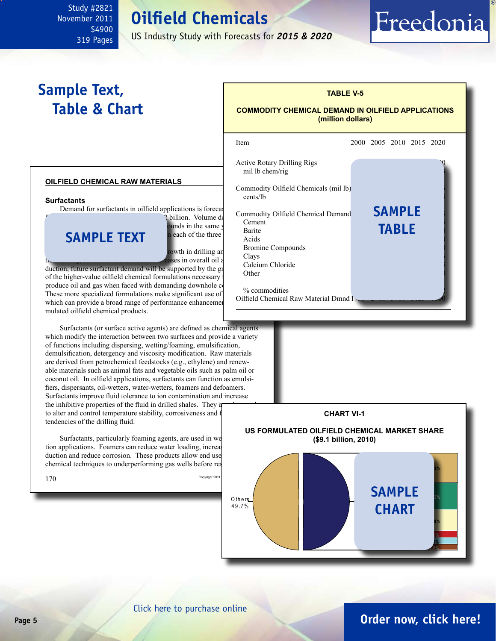# **Oilfield Chemicals**

US Industry Study with Forecasts for *2015 & 2020*

ׇ֦֘֡

# <span id="page-4-0"></span>**Sample Text, Table & Chart**

### **TABLE V-5 COMMODITY CHEMICAL DEMAND IN OILFIELD APPLICATIONS**

Freedonia

**(million dollars)**

#### **oilfield chemical raw materials**

**Surfactants**

Demand for surfactants in oilfield applications is forecast

### **CAMDIE TEYT** in each of the three **sample TEXT**

<sup>2</sup> billion. Volume demand is the commodity commodity commodity commodity commodity commodity commodity commodity commodity commodity commodity commodity commodity commodity commodity commodity commodity commodity commodit  $\frac{1}{\text{Number of the same}}$  become vector points in the same year. General power states in the same year. Gains in the same year.

buth in drilling and complete growth in drilling and continued  $\frac{D}{C}$ tion are in overall oil a

 $\frac{1}{2}$  duction, future surfactant demand will be supported by the growing use of the  $\frac{1}{2}$ of the higher-value oilfield chemical formulations necessary produce oil and gas when faced with demanding downhole co These more specialized formulations make significant use of which can provide a broad range of performance enhancements mulated oilfield chemical products.

 Surfactants (or surface active agents) are defined as chemical agents which modify the interaction between two surfaces and provide a variety of functions including dispersing, wetting/foaming, emulsification, demulsification, detergency and viscosity modification. Raw materials are derived from petrochemical feedstocks (e.g., ethylene) and renewable materials such as animal fats and vegetable oils such as palm oil or coconut oil. In oilfield applications, surfactants can function as emulsifiers, dispersants, oil-wetters, water-wetters, foamers and defoamers. Surfactants improve fluid tolerance to ion contamination and increase the inhibitive properties of the fluid in drilled shales. They a to alter and control temperature stability, corrosiveness and f tendencies of the drilling fluid.

Surfactants, particularly foaming agents, are used in we tion applications. Foamers can reduce water loading, increase duction and reduce corrosion. These products allow end use chemical techniques to underperforming gas wells before res





# **Page 5 [Order now, click here!](#page-6-0)**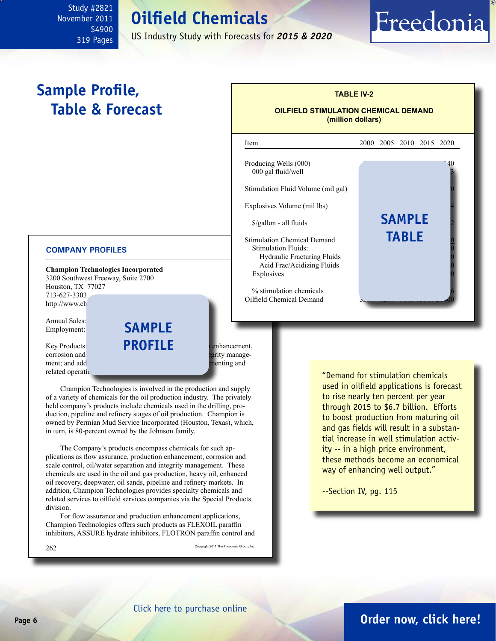# **Oilfield Chemicals**

US Industry Study with Forecasts for *2015 & 2020*

֦

Producing Wells (000)

# <span id="page-5-0"></span>**Sample Profile, Table & Forecast**

#### **COMPANY PROFILES**

**Champion Technologies Incorporated** 3200 Southwest Freeway, Suite 2700 Houston, TX 77027 713-627-3303 http://www.ch

Annual Sales: Employment:

corrosion and scale control, or control, or control, or control, or control, or control, or control, or control, or control, or control, or control, or control, or control, or control, or control, or control, or control, o ment; and additives for drilling, according, fracturing, fracturing, and cementing, and related operation

Key Products: **PROFILE** annual enhancement, **sample**

 Champion Technologies is involved in the production and supply of a variety of chemicals for the oil production industry. The privately held company's products include chemicals used in the drilling, production, pipeline and refinery stages of oil production. Champion is owned by Permian Mud Service Incorporated (Houston, Texas), which, in turn, is 80-percent owned by the Johnson family.

 The Company's products encompass chemicals for such applications as flow assurance, production enhancement, corrosion and scale control, oil/water separation and integrity management. These chemicals are used in the oil and gas production, heavy oil, enhanced oil recovery, deepwater, oil sands, pipeline and refinery markets. In addition, Champion Technologies provides specialty chemicals and related services to oilfield services companies via the Special Products division.

 For flow assurance and production enhancement applications, Champion Technologies offers such products as FLEXOIL paraffin inhibitors, ASSURE hydrate inhibitors, FLOTRON paraffin control and

 $262$  Copyright 2011 The Freedonia Group, Inc.

000 gal fluid/well Stimulation Fluid Volume (mil gal) Explosives Volume (mil lbs)  $\frac{\sigma}{2}$  /gallon - all fluids Stimulation Chemical Demand Stimulation Fluids: Hydraulic Fracturing Fluids Acid Frac/Acidizing Fluids Explosives  $%$  stimulation chemicals Oilfield Chemical Demand **sample table**

**TABLE IV-2**

Freedonia

**OILFIELD STIMULATION CHEMICAL DEMAND (million dollars)**

Item 2000 2005 2010 2015 2020

"Demand for stimulation chemicals used in oilfield applications is forecast to rise nearly ten percent per year through 2015 to \$6.7 billion. Efforts to boost production from maturing oil and gas fields will result in a substantial increase in well stimulation activity -- in a high price environment, these methods become an economical way of enhancing well output."

--Section IV, pg. 115

[Click here to purchase online](http://www.freedoniagroup.com/DocumentDetails.aspx?Referrerid=FM-Bro&StudyID=2821)

# **Page 6 [Order now, click here!](#page-6-0)**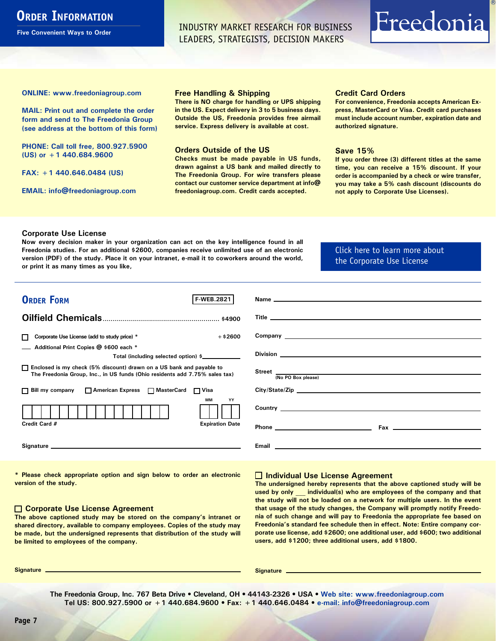# <span id="page-6-0"></span>**ORDER INFORMATION**

**Five Convenient Ways to Order**

INDUSTRY MARKET RESEARCH FOR BUSINESS LEADERS, STRATEGISTS, DECISION MAKERS

# Freedonia

**ONLINE: [www.freedoniagroup.com](http://www.freedoniagroup.com/DocumentDetails.aspx?Referrerid=FM-Bro&StudyID=2821)**

**MAIL: Print out and complete the order form and send to The Freedonia Group (see address at the bottom of this form)**

**PHONE: Call toll free, 800.927.5900 (US) or +1 440.684.9600**

**FAX: +1 440.646.0484 (US)**

**EMAIL: [info@freedoniagroup.com](mailto:info@freedoniagroup.com)**

#### **Free Handling & Shipping**

**There is NO charge for handling or UPS shipping in the US. Expect delivery in 3 to 5 business days. Outside the US, Freedonia provides free airmail service. Express delivery is available at cost.**

#### **Orders Outside of the US**

**Checks must be made payable in US funds, drawn against a US bank and mailed directly to The Freedonia Group. For wire transfers please contact our customer service department at info@ freedoniagroup.com. Credit cards accepted.**

#### **Credit Card Orders**

**For convenience, Freedonia accepts American Express, MasterCard or Visa. Credit card purchases must include account number, expiration date and authorized signature.**

#### **Save 15%**

**If you order three (3) different titles at the same time, you can receive a 15% discount. If your order is accompanied by a check or wire transfer, you may take a 5% cash discount (discounts do not apply to Corporate Use Licenses).**

#### **Corporate Use License**

**Now every decision maker in your organization can act on the key intelligence found in all Freedonia studies. For an additional \$2600, companies receive unlimited use of an electronic version (PDF) of the study. Place it on your intranet, e-mail it to coworkers around the world, or print it as many times as you like,** 

#### [Click here to learn more about](http://www.freedoniagroup.com/pdf/FreedoniaCULBro.pdf)  [the Corporate Use License](http://www.freedoniagroup.com/pdf/FreedoniaCULBro.pdf)

| <b>ORDER FORM</b><br><b>F WEB.2821</b>                                                                                                                                                                                         |                                                                                                                                                                                                                                      |
|--------------------------------------------------------------------------------------------------------------------------------------------------------------------------------------------------------------------------------|--------------------------------------------------------------------------------------------------------------------------------------------------------------------------------------------------------------------------------------|
|                                                                                                                                                                                                                                |                                                                                                                                                                                                                                      |
|                                                                                                                                                                                                                                |                                                                                                                                                                                                                                      |
|                                                                                                                                                                                                                                |                                                                                                                                                                                                                                      |
| $+$ \$2600<br>Corporate Use License (add to study price) *                                                                                                                                                                     |                                                                                                                                                                                                                                      |
| Additional Print Copies @ \$600 each *                                                                                                                                                                                         |                                                                                                                                                                                                                                      |
| Total (including selected option) \$____________                                                                                                                                                                               |                                                                                                                                                                                                                                      |
| □ Enclosed is my check (5% discount) drawn on a US bank and payable to<br>The Freedonia Group, Inc., in US funds (Ohio residents add 7.75% sales tax)                                                                          | Street <sub>(No PO Box please)</sub>                                                                                                                                                                                                 |
|                                                                                                                                                                                                                                |                                                                                                                                                                                                                                      |
| □ Bill my company □ American Express □ MasterCard □ Visa                                                                                                                                                                       | City/State/Zip                                                                                                                                                                                                                       |
| <b>MM</b><br>YY                                                                                                                                                                                                                | Country <u>the country of the country of the country of the country of the country of the country of the country of the country of the country of the country of the country of the country of the country of the country of the</u> |
| <b>Expiration Date</b><br>Credit Card #                                                                                                                                                                                        |                                                                                                                                                                                                                                      |
| Signature experience and the state of the state of the state of the state of the state of the state of the state of the state of the state of the state of the state of the state of the state of the state of the state of th | <b>Email Exercise Exercise Exercise Service Service Service Service Service Service Service Service Service Service Service Service Service Service Service Service Service Service Service Service Service Service Service Se</b>   |

**\* Please check appropriate option and sign below to order an electronic version of the study.**

#### **Corporate Use License Agreement**

**The above captioned study may be stored on the company's intranet or shared directory, available to company employees. Copies of the study may be made, but the undersigned represents that distribution of the study will be limited to employees of the company.**

#### **Individual Use License Agreement**

**The undersigned hereby represents that the above captioned study will be used by only \_\_\_ individual(s) who are employees of the company and that the study will not be loaded on a network for multiple users. In the event that usage of the study changes, the Company will promptly notify Freedonia of such change and will pay to Freedonia the appropriate fee based on Freedonia's standard fee schedule then in effect. Note: Entire company corporate use license, add \$2600; one additional user, add \$600; two additional users, add \$1200; three additional users, add \$1800.**

**Signature Signature**

**The Freedonia Group, Inc. 767 Beta Drive • Cleveland, OH • 44143-2326 • USA • [Web site: www.freedoniagroup.com](http://www.freedoniagroup.com/Home.aspx?ReferrerId=FM-Bro) Tel US: 800.927.5900 or +1 440.684.9600 • Fax: +1 440.646.0484 • [e-mail: info@freedoniagroup.com](mailto:info@freedoniagroup.com)**